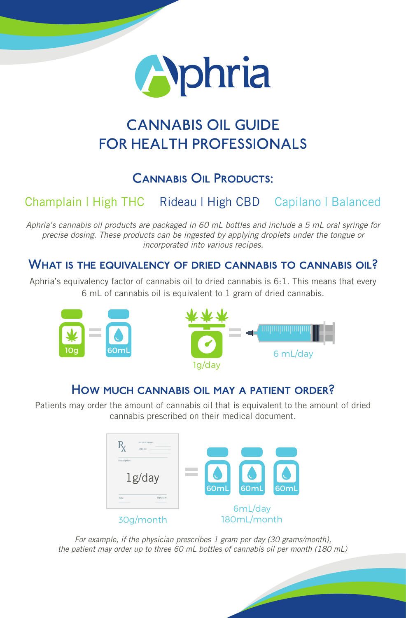

# CANNABIS OIL GUIDE FOR HEALTH PROFESSIONALS

## Cannabis Oil Products:

# Champlain | High THC Rideau | High CBD Capilano | Balanced

*Aphria's cannabis oil products are packaged in 60 mL bottles and include a 5 mL oral syringe for precise dosing. These products can be ingested by applying droplets under the tongue or incorporated into various recipes.*

## WHAT IS THE EQUIVALENCY OF DRIED CANNABIS TO CANNABIS OIL?

Aphria's equivalency factor of cannabis oil to dried cannabis is 6:1. This means that every 6 mL of cannabis oil is equivalent to 1 gram of dried cannabis.



## How much cannabis oil may a patient order?

Patients may order the amount of cannabis oil that is equivalent to the amount of dried cannabis prescribed on their medical document.



*For example, if the physician prescribes 1 gram per day (30 grams/month), the patient may order up to three 60 mL bottles of cannabis oil per month (180 mL)*